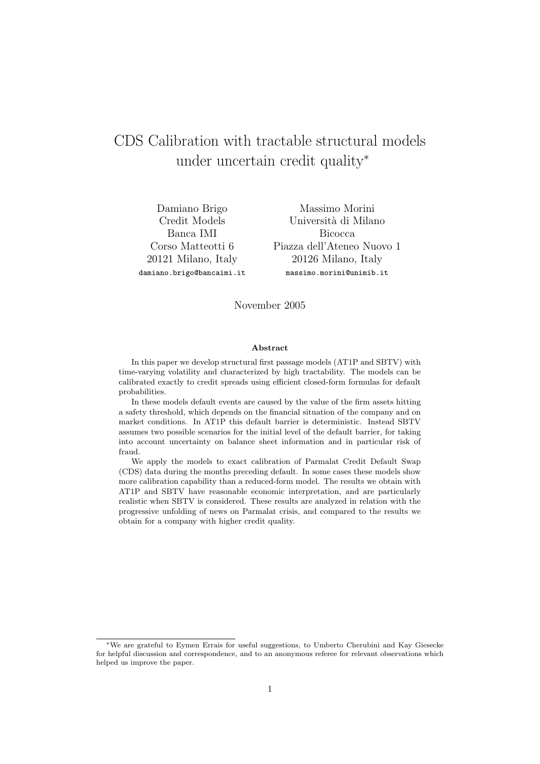# CDS Calibration with tractable structural models under uncertain credit quality<sup>∗</sup>

Damiano Brigo Credit Models Banca IMI Corso Matteotti 6 20121 Milano, Italy damiano.brigo@bancaimi.it

Massimo Morini Università di Milano Bicocca Piazza dell'Ateneo Nuovo 1 20126 Milano, Italy massimo.morini@unimib.it

November 2005

#### Abstract

In this paper we develop structural first passage models (AT1P and SBTV) with time-varying volatility and characterized by high tractability. The models can be calibrated exactly to credit spreads using efficient closed-form formulas for default probabilities.

In these models default events are caused by the value of the firm assets hitting a safety threshold, which depends on the financial situation of the company and on market conditions. In AT1P this default barrier is deterministic. Instead SBTV assumes two possible scenarios for the initial level of the default barrier, for taking into account uncertainty on balance sheet information and in particular risk of fraud.

We apply the models to exact calibration of Parmalat Credit Default Swap (CDS) data during the months preceding default. In some cases these models show more calibration capability than a reduced-form model. The results we obtain with AT1P and SBTV have reasonable economic interpretation, and are particularly realistic when SBTV is considered. These results are analyzed in relation with the progressive unfolding of news on Parmalat crisis, and compared to the results we obtain for a company with higher credit quality.

<sup>∗</sup>We are grateful to Eymen Errais for useful suggestions, to Umberto Cherubini and Kay Giesecke for helpful discussion and correspondence, and to an anonymous referee for relevant observations which helped us improve the paper.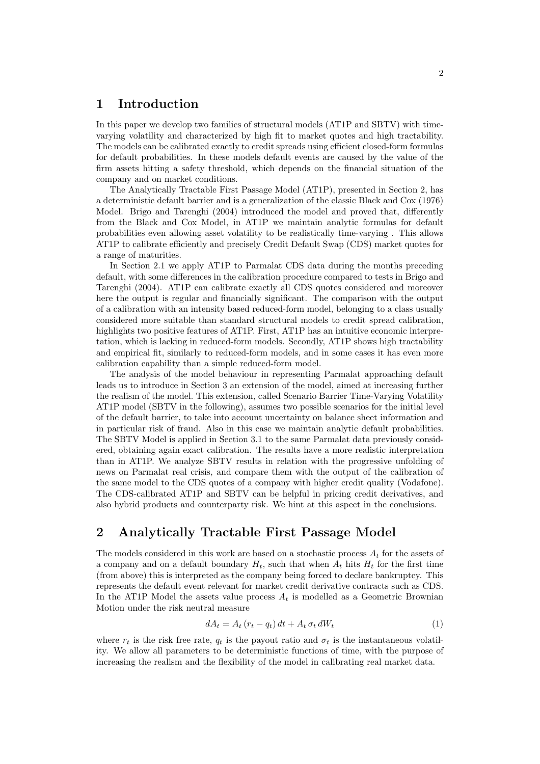### 1 Introduction

In this paper we develop two families of structural models (AT1P and SBTV) with timevarying volatility and characterized by high fit to market quotes and high tractability. The models can be calibrated exactly to credit spreads using efficient closed-form formulas for default probabilities. In these models default events are caused by the value of the firm assets hitting a safety threshold, which depends on the financial situation of the company and on market conditions.

The Analytically Tractable First Passage Model (AT1P), presented in Section 2, has a deterministic default barrier and is a generalization of the classic Black and Cox (1976) Model. Brigo and Tarenghi (2004) introduced the model and proved that, differently from the Black and Cox Model, in AT1P we maintain analytic formulas for default probabilities even allowing asset volatility to be realistically time-varying . This allows AT1P to calibrate efficiently and precisely Credit Default Swap (CDS) market quotes for a range of maturities.

In Section 2.1 we apply AT1P to Parmalat CDS data during the months preceding default, with some differences in the calibration procedure compared to tests in Brigo and Tarenghi (2004). AT1P can calibrate exactly all CDS quotes considered and moreover here the output is regular and financially significant. The comparison with the output of a calibration with an intensity based reduced-form model, belonging to a class usually considered more suitable than standard structural models to credit spread calibration, highlights two positive features of AT1P. First, AT1P has an intuitive economic interpretation, which is lacking in reduced-form models. Secondly, AT1P shows high tractability and empirical fit, similarly to reduced-form models, and in some cases it has even more calibration capability than a simple reduced-form model.

The analysis of the model behaviour in representing Parmalat approaching default leads us to introduce in Section 3 an extension of the model, aimed at increasing further the realism of the model. This extension, called Scenario Barrier Time-Varying Volatility AT1P model (SBTV in the following), assumes two possible scenarios for the initial level of the default barrier, to take into account uncertainty on balance sheet information and in particular risk of fraud. Also in this case we maintain analytic default probabilities. The SBTV Model is applied in Section 3.1 to the same Parmalat data previously considered, obtaining again exact calibration. The results have a more realistic interpretation than in AT1P. We analyze SBTV results in relation with the progressive unfolding of news on Parmalat real crisis, and compare them with the output of the calibration of the same model to the CDS quotes of a company with higher credit quality (Vodafone). The CDS-calibrated AT1P and SBTV can be helpful in pricing credit derivatives, and also hybrid products and counterparty risk. We hint at this aspect in the conclusions.

### 2 Analytically Tractable First Passage Model

The models considered in this work are based on a stochastic process  $A_t$  for the assets of a company and on a default boundary  $H_t$ , such that when  $A_t$  hits  $H_t$  for the first time (from above) this is interpreted as the company being forced to declare bankruptcy. This represents the default event relevant for market credit derivative contracts such as CDS. In the AT1P Model the assets value process  $A_t$  is modelled as a Geometric Brownian Motion under the risk neutral measure

$$
dA_t = A_t (r_t - q_t) dt + A_t \sigma_t dW_t
$$
\n<sup>(1)</sup>

where  $r_t$  is the risk free rate,  $q_t$  is the payout ratio and  $\sigma_t$  is the instantaneous volatility. We allow all parameters to be deterministic functions of time, with the purpose of increasing the realism and the flexibility of the model in calibrating real market data.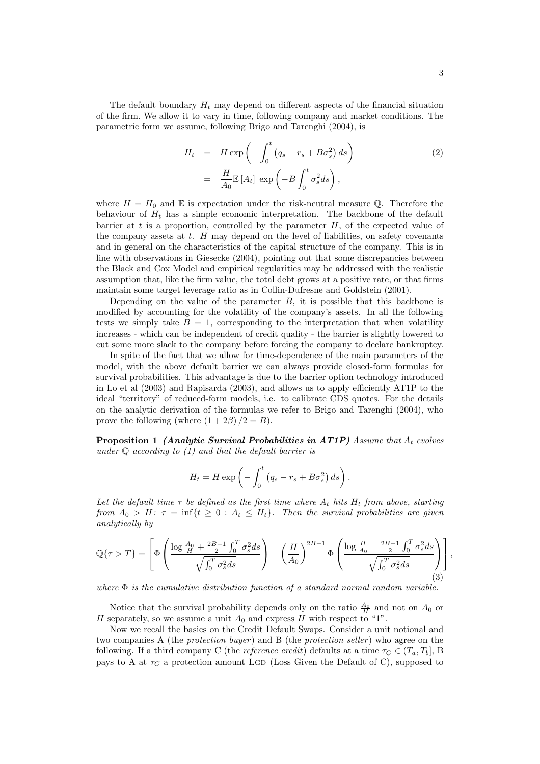The default boundary  $H_t$  may depend on different aspects of the financial situation of the firm. We allow it to vary in time, following company and market conditions. The parametric form we assume, following Brigo and Tarenghi (2004), is

$$
H_t = H \exp\left(-\int_0^t \left(q_s - r_s + B\sigma_s^2\right) ds\right)
$$
  
= 
$$
\frac{H}{A_0} \mathbb{E}\left[A_t\right] \exp\left(-B \int_0^t \sigma_s^2 ds\right),
$$
 (2)

where  $H = H_0$  and E is expectation under the risk-neutral measure Q. Therefore the behaviour of  $H_t$  has a simple economic interpretation. The backbone of the default barrier at t is a proportion, controlled by the parameter  $H$ , of the expected value of the company assets at  $t$ .  $H$  may depend on the level of liabilities, on safety covenants and in general on the characteristics of the capital structure of the company. This is in line with observations in Giesecke (2004), pointing out that some discrepancies between the Black and Cox Model and empirical regularities may be addressed with the realistic assumption that, like the firm value, the total debt grows at a positive rate, or that firms maintain some target leverage ratio as in Collin-Dufresne and Goldstein (2001).

Depending on the value of the parameter  $B$ , it is possible that this backbone is modified by accounting for the volatility of the company's assets. In all the following tests we simply take  $B = 1$ , corresponding to the interpretation that when volatility increases - which can be independent of credit quality - the barrier is slightly lowered to cut some more slack to the company before forcing the company to declare bankruptcy.

In spite of the fact that we allow for time-dependence of the main parameters of the model, with the above default barrier we can always provide closed-form formulas for survival probabilities. This advantage is due to the barrier option technology introduced in Lo et al (2003) and Rapisarda (2003), and allows us to apply efficiently AT1P to the ideal "territory" of reduced-form models, i.e. to calibrate CDS quotes. For the details on the analytic derivation of the formulas we refer to Brigo and Tarenghi (2004), who prove the following (where  $(1+2\beta)/2 = B$ ).

**Proposition 1 (Analytic Survival Probabilities in AT1P)** Assume that  $A_t$  evolves under  $Q$  according to  $(1)$  and that the default barrier is

$$
H_t = H \exp\left(-\int_0^t \left(q_s - r_s + B\sigma_s^2\right) ds\right).
$$

Let the default time  $\tau$  be defined as the first time where  $A_t$  hits  $H_t$  from above, starting from  $A_0 > H$ :  $\tau = \inf\{t \geq 0 : A_t \leq H_t\}$ . Then the survival probabilities are given analytically by

$$
\mathbb{Q}\{\tau > T\} = \left[\Phi\left(\frac{\log \frac{A_0}{H} + \frac{2B-1}{2} \int_0^T \sigma_s^2 ds}{\sqrt{\int_0^T \sigma_s^2 ds}}\right) - \left(\frac{H}{A_0}\right)^{2B-1} \Phi\left(\frac{\log \frac{H}{A_0} + \frac{2B-1}{2} \int_0^T \sigma_s^2 ds}{\sqrt{\int_0^T \sigma_s^2 ds}}\right)\right],
$$
\n(3)

where  $\Phi$  is the cumulative distribution function of a standard normal random variable.

Notice that the survival probability depends only on the ratio  $\frac{A_0}{H}$  and not on  $A_0$  or H separately, so we assume a unit  $A_0$  and express H with respect to "1".

Now we recall the basics on the Credit Default Swaps. Consider a unit notional and two companies A (the *protection buyer*) and B (the *protection seller*) who agree on the following. If a third company C (the *reference credit*) defaults at a time  $\tau_C \in (T_a, T_b]$ , B pays to A at  $\tau_C$  a protection amount LGD (Loss Given the Default of C), supposed to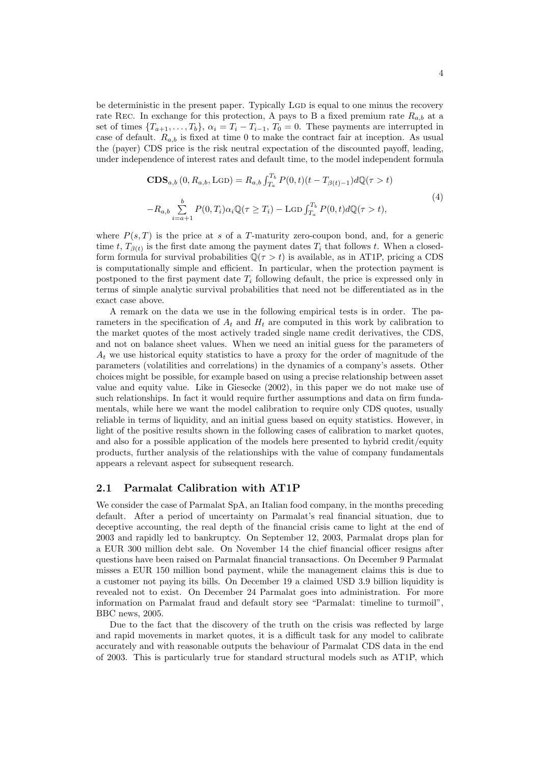be deterministic in the present paper. Typically LGD is equal to one minus the recovery rate Rec. In exchange for this protection, A pays to B a fixed premium rate  $R_{a,b}$  at a set of times  $\{T_{a+1},...,T_b\}$ ,  $\alpha_i = T_i - T_{i-1}$ ,  $T_0 = 0$ . These payments are interrupted in case of default.  $R_{a,b}$  is fixed at time 0 to make the contract fair at inception. As usual the (payer) CDS price is the risk neutral expectation of the discounted payoff, leading, under independence of interest rates and default time, to the model independent formula

$$
\mathbf{CDS}_{a,b}(0, R_{a,b}, \text{LGD}) = R_{a,b} \int_{T_a}^{T_b} P(0, t)(t - T_{\beta(t)-1}) d\mathbb{Q}(\tau > t)
$$
  

$$
-R_{a,b} \sum_{i=a+1}^{b} P(0, T_i) \alpha_i \mathbb{Q}(\tau \ge T_i) - \text{LGD} \int_{T_a}^{T_b} P(0, t) d\mathbb{Q}(\tau > t),
$$
 (4)

where  $P(s,T)$  is the price at s of a T-maturity zero-coupon bond, and, for a generic time t,  $T_{\beta(t)}$  is the first date among the payment dates  $T_i$  that follows t. When a closedform formula for survival probabilities  $\mathbb{Q}(\tau > t)$  is available, as in AT1P, pricing a CDS is computationally simple and efficient. In particular, when the protection payment is postponed to the first payment date  $T_i$  following default, the price is expressed only in terms of simple analytic survival probabilities that need not be differentiated as in the exact case above.

A remark on the data we use in the following empirical tests is in order. The parameters in the specification of  $A_t$  and  $H_t$  are computed in this work by calibration to the market quotes of the most actively traded single name credit derivatives, the CDS, and not on balance sheet values. When we need an initial guess for the parameters of  $A_t$  we use historical equity statistics to have a proxy for the order of magnitude of the parameters (volatilities and correlations) in the dynamics of a company's assets. Other choices might be possible, for example based on using a precise relationship between asset value and equity value. Like in Giesecke (2002), in this paper we do not make use of such relationships. In fact it would require further assumptions and data on firm fundamentals, while here we want the model calibration to require only CDS quotes, usually reliable in terms of liquidity, and an initial guess based on equity statistics. However, in light of the positive results shown in the following cases of calibration to market quotes, and also for a possible application of the models here presented to hybrid credit/equity products, further analysis of the relationships with the value of company fundamentals appears a relevant aspect for subsequent research.

#### 2.1 Parmalat Calibration with AT1P

We consider the case of Parmalat SpA, an Italian food company, in the months preceding default. After a period of uncertainty on Parmalat's real financial situation, due to deceptive accounting, the real depth of the financial crisis came to light at the end of 2003 and rapidly led to bankruptcy. On September 12, 2003, Parmalat drops plan for a EUR 300 million debt sale. On November 14 the chief financial officer resigns after questions have been raised on Parmalat financial transactions. On December 9 Parmalat misses a EUR 150 million bond payment, while the management claims this is due to a customer not paying its bills. On December 19 a claimed USD 3.9 billion liquidity is revealed not to exist. On December 24 Parmalat goes into administration. For more information on Parmalat fraud and default story see "Parmalat: timeline to turmoil", BBC news, 2005.

Due to the fact that the discovery of the truth on the crisis was reflected by large and rapid movements in market quotes, it is a difficult task for any model to calibrate accurately and with reasonable outputs the behaviour of Parmalat CDS data in the end of 2003. This is particularly true for standard structural models such as AT1P, which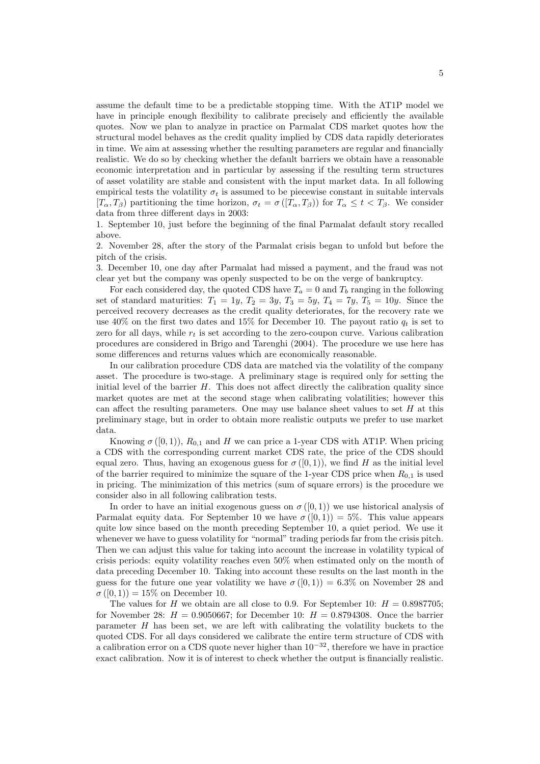assume the default time to be a predictable stopping time. With the AT1P model we have in principle enough flexibility to calibrate precisely and efficiently the available quotes. Now we plan to analyze in practice on Parmalat CDS market quotes how the structural model behaves as the credit quality implied by CDS data rapidly deteriorates in time. We aim at assessing whether the resulting parameters are regular and financially realistic. We do so by checking whether the default barriers we obtain have a reasonable economic interpretation and in particular by assessing if the resulting term structures of asset volatility are stable and consistent with the input market data. In all following empirical tests the volatility  $\sigma_t$  is assumed to be piecewise constant in suitable intervals  $[T_{\alpha}, T_{\beta}]$  partitioning the time horizon,  $\sigma_t = \sigma([T_{\alpha}, T_{\beta})$  for  $T_{\alpha} \leq t < T_{\beta}$ . We consider data from three different days in 2003:

1. September 10, just before the beginning of the final Parmalat default story recalled above.

2. November 28, after the story of the Parmalat crisis began to unfold but before the pitch of the crisis.

3. December 10, one day after Parmalat had missed a payment, and the fraud was not clear yet but the company was openly suspected to be on the verge of bankruptcy.

For each considered day, the quoted CDS have  $T_a = 0$  and  $T_b$  ranging in the following set of standard maturities:  $T_1 = 1y, T_2 = 3y, T_3 = 5y, T_4 = 7y, T_5 = 10y$ . Since the perceived recovery decreases as the credit quality deteriorates, for the recovery rate we use 40% on the first two dates and 15% for December 10. The payout ratio  $q_t$  is set to zero for all days, while  $r_t$  is set according to the zero-coupon curve. Various calibration procedures are considered in Brigo and Tarenghi (2004). The procedure we use here has some differences and returns values which are economically reasonable.

In our calibration procedure CDS data are matched via the volatility of the company asset. The procedure is two-stage. A preliminary stage is required only for setting the initial level of the barrier  $H$ . This does not affect directly the calibration quality since market quotes are met at the second stage when calibrating volatilities; however this can affect the resulting parameters. One may use balance sheet values to set  $H$  at this preliminary stage, but in order to obtain more realistic outputs we prefer to use market data.

Knowing  $\sigma([0,1)), R_{0,1}$  and H we can price a 1-year CDS with AT1P. When pricing a CDS with the corresponding current market CDS rate, the price of the CDS should equal zero. Thus, having an exogenous guess for  $\sigma([0,1))$ , we find H as the initial level of the barrier required to minimize the square of the 1-year CDS price when  $R_{0,1}$  is used in pricing. The minimization of this metrics (sum of square errors) is the procedure we consider also in all following calibration tests.

In order to have an initial exogenous guess on  $\sigma([0,1))$  we use historical analysis of Parmalat equity data. For September 10 we have  $\sigma([0,1)) = 5\%$ . This value appears quite low since based on the month preceding September 10, a quiet period. We use it whenever we have to guess volatility for "normal" trading periods far from the crisis pitch. Then we can adjust this value for taking into account the increase in volatility typical of crisis periods: equity volatility reaches even 50% when estimated only on the month of data preceding December 10. Taking into account these results on the last month in the guess for the future one year volatility we have  $\sigma([0,1)) = 6.3\%$  on November 28 and  $\sigma([0, 1)) = 15\%$  on December 10.

The values for H we obtain are all close to 0.9. For September 10:  $H = 0.8987705$ ; for November 28:  $H = 0.9050667$ ; for December 10:  $H = 0.8794308$ . Once the barrier parameter H has been set, we are left with calibrating the volatility buckets to the quoted CDS. For all days considered we calibrate the entire term structure of CDS with a calibration error on a CDS quote never higher than  $10^{-32}$ , therefore we have in practice exact calibration. Now it is of interest to check whether the output is financially realistic.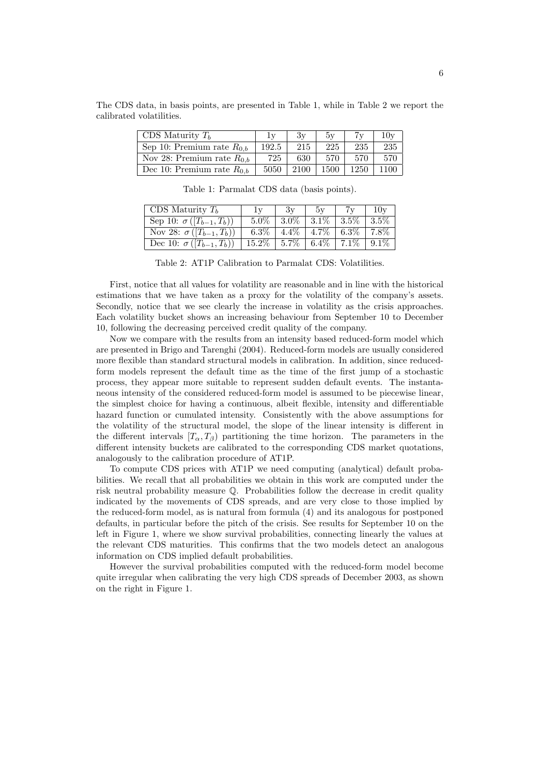| CDS Maturity $T_h$             | 1v    | Зv   | 5v   |      | $10{\rm v}$ |
|--------------------------------|-------|------|------|------|-------------|
| Sep 10: Premium rate $R_{0,b}$ | 192.5 | 215  | 225  | 235  | 235         |
| Nov 28: Premium rate $R_{0,b}$ | 725   | 630- | 570  | 570  | 570         |
| Dec 10: Premium rate $R_{0,b}$ | 5050  | 2100 | 1500 | 1250 | 1100        |

The CDS data, in basis points, are presented in Table 1, while in Table 2 we report the calibrated volatilities.

| CDS Maturity $T_h$              | $\mathbb{I} \mathbf{v}$ | Зv      | 5v      |         | 10v     |
|---------------------------------|-------------------------|---------|---------|---------|---------|
| Sep 10: $\sigma([T_{b-1},T_b))$ | $5.0\%$                 | $3.0\%$ | $3.1\%$ | $3.5\%$ | $3.5\%$ |
| Nov 28: $\sigma([T_{b-1},T_b))$ | $6.3\%$                 | $4.4\%$ | $4.7\%$ | $6.3\%$ | $7.8\%$ |
| Dec 10: $\sigma([T_{b-1},T_b))$ | $15.2\%$                | $5.7\%$ | $6.4\%$ | $7.1\%$ | $9.1\%$ |

Table 1: Parmalat CDS data (basis points).

Table 2: AT1P Calibration to Parmalat CDS: Volatilities.

First, notice that all values for volatility are reasonable and in line with the historical estimations that we have taken as a proxy for the volatility of the company's assets. Secondly, notice that we see clearly the increase in volatility as the crisis approaches. Each volatility bucket shows an increasing behaviour from September 10 to December 10, following the decreasing perceived credit quality of the company.

Now we compare with the results from an intensity based reduced-form model which are presented in Brigo and Tarenghi (2004). Reduced-form models are usually considered more flexible than standard structural models in calibration. In addition, since reducedform models represent the default time as the time of the first jump of a stochastic process, they appear more suitable to represent sudden default events. The instantaneous intensity of the considered reduced-form model is assumed to be piecewise linear, the simplest choice for having a continuous, albeit flexible, intensity and differentiable hazard function or cumulated intensity. Consistently with the above assumptions for the volatility of the structural model, the slope of the linear intensity is different in the different intervals  $[T_{\alpha}, T_{\beta}]$  partitioning the time horizon. The parameters in the different intensity buckets are calibrated to the corresponding CDS market quotations, analogously to the calibration procedure of AT1P.

To compute CDS prices with AT1P we need computing (analytical) default probabilities. We recall that all probabilities we obtain in this work are computed under the risk neutral probability measure Q. Probabilities follow the decrease in credit quality indicated by the movements of CDS spreads, and are very close to those implied by the reduced-form model, as is natural from formula (4) and its analogous for postponed defaults, in particular before the pitch of the crisis. See results for September 10 on the left in Figure 1, where we show survival probabilities, connecting linearly the values at the relevant CDS maturities. This confirms that the two models detect an analogous information on CDS implied default probabilities.

However the survival probabilities computed with the reduced-form model become quite irregular when calibrating the very high CDS spreads of December 2003, as shown on the right in Figure 1.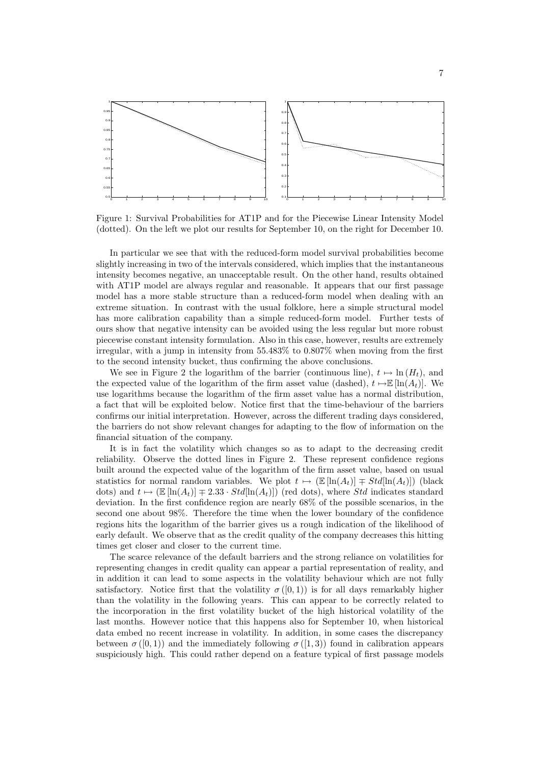

Figure 1: Survival Probabilities for AT1P and for the Piecewise Linear Intensity Model (dotted). On the left we plot our results for September 10, on the right for December 10.

In particular we see that with the reduced-form model survival probabilities become slightly increasing in two of the intervals considered, which implies that the instantaneous intensity becomes negative, an unacceptable result. On the other hand, results obtained with AT1P model are always regular and reasonable. It appears that our first passage model has a more stable structure than a reduced-form model when dealing with an extreme situation. In contrast with the usual folklore, here a simple structural model has more calibration capability than a simple reduced-form model. Further tests of ours show that negative intensity can be avoided using the less regular but more robust piecewise constant intensity formulation. Also in this case, however, results are extremely irregular, with a jump in intensity from 55.483% to 0.807% when moving from the first to the second intensity bucket, thus confirming the above conclusions.

We see in Figure 2 the logarithm of the barrier (continuous line),  $t \mapsto \ln (H_t)$ , and the expected value of the logarithm of the firm asset value (dashed),  $t \mapsto \mathbb{E} [\ln(A_t)].$  We use logarithms because the logarithm of the firm asset value has a normal distribution, a fact that will be exploited below. Notice first that the time-behaviour of the barriers confirms our initial interpretation. However, across the different trading days considered, the barriers do not show relevant changes for adapting to the flow of information on the financial situation of the company.

It is in fact the volatility which changes so as to adapt to the decreasing credit reliability. Observe the dotted lines in Figure 2. These represent confidence regions built around the expected value of the logarithm of the firm asset value, based on usual statistics for normal random variables. We plot  $t \mapsto (\mathbb{E} [\ln(A_t)] \mp Std[\ln(A_t)])$  (black dots) and  $t \mapsto (E [\ln(A_t)] \mp 2.33 \cdot Std[\ln(A_t)])$  (red dots), where Std indicates standard deviation. In the first confidence region are nearly 68% of the possible scenarios, in the second one about 98%. Therefore the time when the lower boundary of the confidence regions hits the logarithm of the barrier gives us a rough indication of the likelihood of early default. We observe that as the credit quality of the company decreases this hitting times get closer and closer to the current time.

The scarce relevance of the default barriers and the strong reliance on volatilities for representing changes in credit quality can appear a partial representation of reality, and in addition it can lead to some aspects in the volatility behaviour which are not fully satisfactory. Notice first that the volatility  $\sigma([0,1))$  is for all days remarkably higher than the volatility in the following years. This can appear to be correctly related to the incorporation in the first volatility bucket of the high historical volatility of the last months. However notice that this happens also for September 10, when historical data embed no recent increase in volatility. In addition, in some cases the discrepancy between  $\sigma([0, 1))$  and the immediately following  $\sigma([1, 3))$  found in calibration appears suspiciously high. This could rather depend on a feature typical of first passage models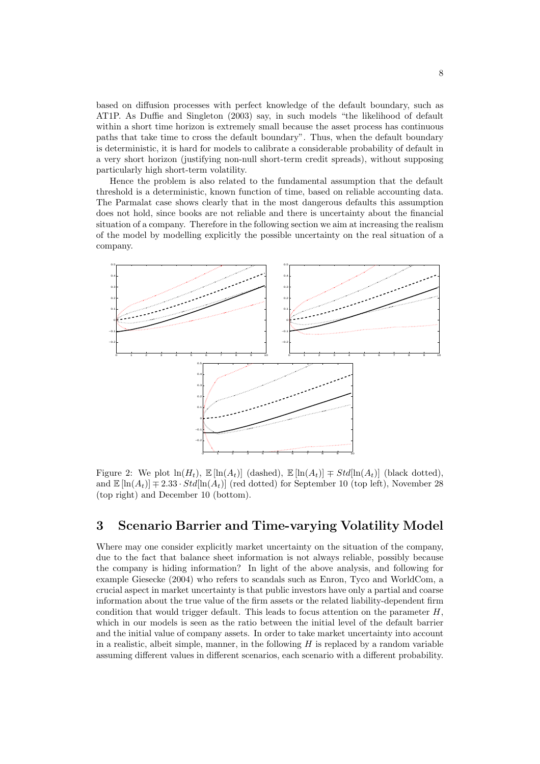based on diffusion processes with perfect knowledge of the default boundary, such as AT1P. As Duffie and Singleton (2003) say, in such models "the likelihood of default within a short time horizon is extremely small because the asset process has continuous paths that take time to cross the default boundary". Thus, when the default boundary is deterministic, it is hard for models to calibrate a considerable probability of default in a very short horizon (justifying non-null short-term credit spreads), without supposing particularly high short-term volatility.

Hence the problem is also related to the fundamental assumption that the default threshold is a deterministic, known function of time, based on reliable accounting data. The Parmalat case shows clearly that in the most dangerous defaults this assumption does not hold, since books are not reliable and there is uncertainty about the financial situation of a company. Therefore in the following section we aim at increasing the realism of the model by modelling explicitly the possible uncertainty on the real situation of a company.



Figure 2: We plot  $\ln(H_t)$ ,  $\mathbb{E}[\ln(A_t)]$  (dashed),  $\mathbb{E}[\ln(A_t)] \neq Std[\ln(A_t)]$  (black dotted), and  $\mathbb{E}[\ln(A_t)] \mp 2.33 \cdot Std[\ln(A_t)]$  (red dotted) for September 10 (top left), November 28 (top right) and December 10 (bottom).

### 3 Scenario Barrier and Time-varying Volatility Model

Where may one consider explicitly market uncertainty on the situation of the company, due to the fact that balance sheet information is not always reliable, possibly because the company is hiding information? In light of the above analysis, and following for example Giesecke (2004) who refers to scandals such as Enron, Tyco and WorldCom, a crucial aspect in market uncertainty is that public investors have only a partial and coarse information about the true value of the firm assets or the related liability-dependent firm condition that would trigger default. This leads to focus attention on the parameter  $H$ , which in our models is seen as the ratio between the initial level of the default barrier and the initial value of company assets. In order to take market uncertainty into account in a realistic, albeit simple, manner, in the following  $H$  is replaced by a random variable assuming different values in different scenarios, each scenario with a different probability.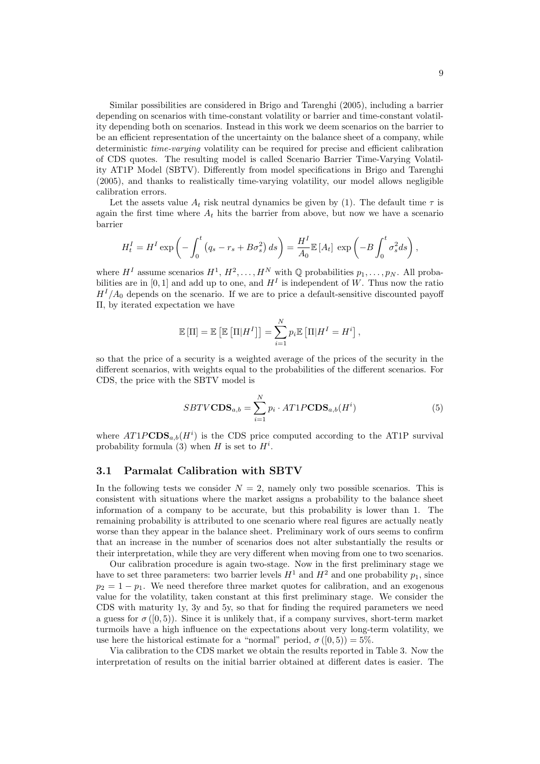Similar possibilities are considered in Brigo and Tarenghi (2005), including a barrier depending on scenarios with time-constant volatility or barrier and time-constant volatility depending both on scenarios. Instead in this work we deem scenarios on the barrier to be an efficient representation of the uncertainty on the balance sheet of a company, while deterministic time-varying volatility can be required for precise and efficient calibration of CDS quotes. The resulting model is called Scenario Barrier Time-Varying Volatility AT1P Model (SBTV). Differently from model specifications in Brigo and Tarenghi (2005), and thanks to realistically time-varying volatility, our model allows negligible calibration errors.

Let the assets value  $A_t$  risk neutral dynamics be given by (1). The default time  $\tau$  is again the first time where  $A_t$  hits the barrier from above, but now we have a scenario barrier

$$
H_t^I = H^I \exp \left(-\int_0^t \left(q_s - r_s + B\sigma_s^2\right) ds\right) = \frac{H^I}{A_0} \mathbb{E}\left[A_t\right] \exp \left(-B\int_0^t \sigma_s^2 ds\right),
$$

where  $H^I$  assume scenarios  $H^1, H^2, \ldots, H^N$  with Q probabilities  $p_1, \ldots, p_N$ . All probabilities are in [0, 1] and add up to one, and  $H<sup>I</sup>$  is independent of W. Thus now the ratio  $H<sup>I</sup>/A<sub>0</sub>$  depends on the scenario. If we are to price a default-sensitive discounted payoff Π, by iterated expectation we have

$$
\mathbb{E}[\Pi] = \mathbb{E}\left[\mathbb{E}\left[\Pi|H^{I}\right]\right] = \sum_{i=1}^{N} p_{i} \mathbb{E}\left[\Pi|H^{I} = H^{i}\right],
$$

so that the price of a security is a weighted average of the prices of the security in the different scenarios, with weights equal to the probabilities of the different scenarios. For CDS, the price with the SBTV model is

$$
SBTVCDS_{a,b} = \sum_{i=1}^{N} p_i \cdot AT1PCDS_{a,b}(H^i)
$$
\n(5)

where  $AT1PCDS_{a,b}(H<sup>i</sup>)$  is the CDS price computed according to the AT1P survival probability formula (3) when  $H$  is set to  $H^i$ .

#### 3.1 Parmalat Calibration with SBTV

In the following tests we consider  $N = 2$ , namely only two possible scenarios. This is consistent with situations where the market assigns a probability to the balance sheet information of a company to be accurate, but this probability is lower than 1. The remaining probability is attributed to one scenario where real figures are actually neatly worse than they appear in the balance sheet. Preliminary work of ours seems to confirm that an increase in the number of scenarios does not alter substantially the results or their interpretation, while they are very different when moving from one to two scenarios.

Our calibration procedure is again two-stage. Now in the first preliminary stage we have to set three parameters: two barrier levels  $H^1$  and  $H^2$  and one probability  $p_1$ , since  $p_2 = 1 - p_1$ . We need therefore three market quotes for calibration, and an exogenous value for the volatility, taken constant at this first preliminary stage. We consider the CDS with maturity 1y, 3y and 5y, so that for finding the required parameters we need a guess for  $\sigma([0,5))$ . Since it is unlikely that, if a company survives, short-term market turmoils have a high influence on the expectations about very long-term volatility, we use here the historical estimate for a "normal" period,  $\sigma([0,5)) = 5\%$ .

Via calibration to the CDS market we obtain the results reported in Table 3. Now the interpretation of results on the initial barrier obtained at different dates is easier. The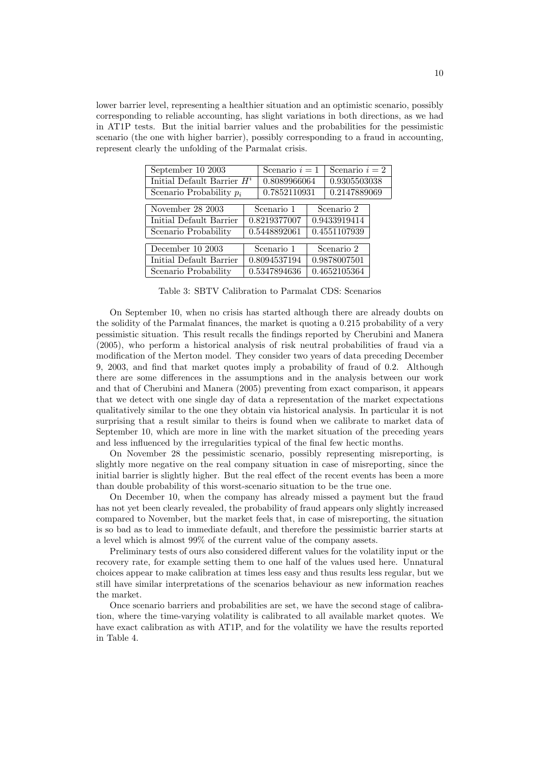lower barrier level, representing a healthier situation and an optimistic scenario, possibly corresponding to reliable accounting, has slight variations in both directions, as we had in AT1P tests. But the initial barrier values and the probabilities for the pessimistic scenario (the one with higher barrier), possibly corresponding to a fraud in accounting, represent clearly the unfolding of the Parmalat crisis.

| September 10 2003             |              | Scenario $i=1$ |              | Scenario $i=2$            |  |  |
|-------------------------------|--------------|----------------|--------------|---------------------------|--|--|
| Initial Default Barrier $H^i$ |              | 0.8089966064   |              | 0.9305503038              |  |  |
| Scenario Probability $p_i$    |              | 0.7852110931   |              | $\overline{0.2}147889069$ |  |  |
|                               |              |                |              |                           |  |  |
| November 28 2003              | Scenario 1   |                | Scenario 2   |                           |  |  |
| Initial Default Barrier       | 0.8219377007 |                | 0.9433919414 |                           |  |  |
| Scenario Probability          | 0.5448892061 |                |              | 0.4551107939              |  |  |
|                               |              |                |              |                           |  |  |
| December 10 2003              | Scenario 1   |                | Scenario 2   |                           |  |  |
| Initial Default Barrier       | 0.8094537194 |                | 0.9878007501 |                           |  |  |
| Scenario Probability          | 0.5347894636 |                |              | 0.4652105364              |  |  |
|                               |              |                |              |                           |  |  |

Table 3: SBTV Calibration to Parmalat CDS: Scenarios

On September 10, when no crisis has started although there are already doubts on the solidity of the Parmalat finances, the market is quoting a 0.215 probability of a very pessimistic situation. This result recalls the findings reported by Cherubini and Manera (2005), who perform a historical analysis of risk neutral probabilities of fraud via a modification of the Merton model. They consider two years of data preceding December 9, 2003, and find that market quotes imply a probability of fraud of 0.2. Although there are some differences in the assumptions and in the analysis between our work and that of Cherubini and Manera (2005) preventing from exact comparison, it appears that we detect with one single day of data a representation of the market expectations qualitatively similar to the one they obtain via historical analysis. In particular it is not surprising that a result similar to theirs is found when we calibrate to market data of September 10, which are more in line with the market situation of the preceding years and less influenced by the irregularities typical of the final few hectic months.

On November 28 the pessimistic scenario, possibly representing misreporting, is slightly more negative on the real company situation in case of misreporting, since the initial barrier is slightly higher. But the real effect of the recent events has been a more than double probability of this worst-scenario situation to be the true one.

On December 10, when the company has already missed a payment but the fraud has not yet been clearly revealed, the probability of fraud appears only slightly increased compared to November, but the market feels that, in case of misreporting, the situation is so bad as to lead to immediate default, and therefore the pessimistic barrier starts at a level which is almost 99% of the current value of the company assets.

Preliminary tests of ours also considered different values for the volatility input or the recovery rate, for example setting them to one half of the values used here. Unnatural choices appear to make calibration at times less easy and thus results less regular, but we still have similar interpretations of the scenarios behaviour as new information reaches the market.

Once scenario barriers and probabilities are set, we have the second stage of calibration, where the time-varying volatility is calibrated to all available market quotes. We have exact calibration as with AT1P, and for the volatility we have the results reported in Table 4.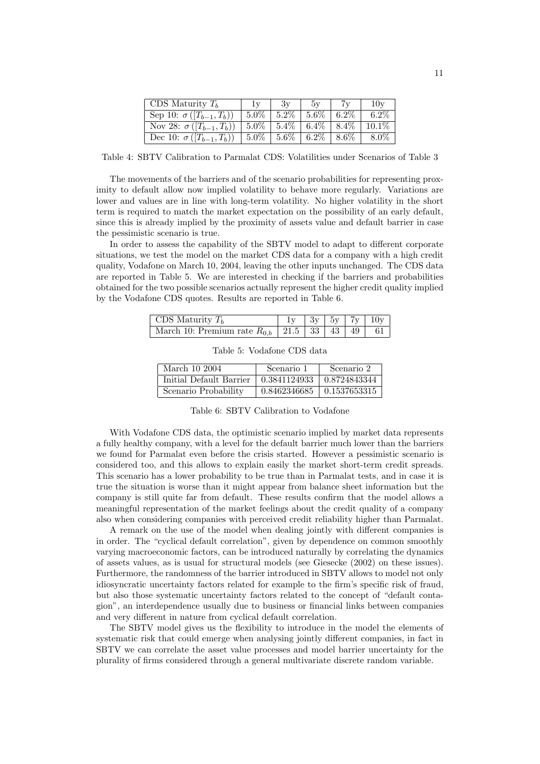| CDS Maturity $T_h$                                                  | 1v | 3v                                                 | 5v | 10v     |
|---------------------------------------------------------------------|----|----------------------------------------------------|----|---------|
| Sep 10: $\sigma([T_{b-1},T_b))$                                     |    | $\mid 5.0\% \mid 5.2\% \mid 5.6\% \mid 6.2\% \mid$ |    | $6.2\%$ |
| Nov 28: $\sigma([T_{b-1},T_b))$   5.0%   5.4%   6.4%   8.4%   10.1% |    |                                                    |    |         |
| Dec 10: $\sigma([T_{b-1},T_b))$   5.0%   5.6%   6.2%   8.6%         |    |                                                    |    | 8.0%    |

Table 4: SBTV Calibration to Parmalat CDS: Volatilities under Scenarios of Table 3

The movements of the barriers and of the scenario probabilities for representing proximity to default allow now implied volatility to behave more regularly. Variations are lower and values are in line with long-term volatility. No higher volatility in the short term is required to match the market expectation on the possibility of an early default, since this is already implied by the proximity of assets value and default barrier in case the pessimistic scenario is true.

In order to assess the capability of the SBTV model to adapt to different corporate situations, we test the model on the market CDS data for a company with a high credit quality, Vodafone on March 10, 2004, leaving the other inputs unchanged. The CDS data are reported in Table 5. We are interested in checking if the barriers and probabilities obtained for the two possible scenarios actually represent the higher credit quality implied by the Vodafone CDS quotes. Results are reported in Table 6.

| CDS Maturity $T_b$                                          |  |  | $1y \mid 3y \mid 5y \mid 7y \mid 10y$ |
|-------------------------------------------------------------|--|--|---------------------------------------|
| March 10: Premium rate $R_{0,b}$   21.5   33   43   49   61 |  |  |                                       |

| March 10 2004           | Scenario 1   | Scenario 2                      |
|-------------------------|--------------|---------------------------------|
| Initial Default Barrier | 0.3841124933 | $\mid$ 0.8724843344             |
| Scenario Probability    |              | $0.8462346685$   $0.1537653315$ |

Table 5: Vodafone CDS data

|  |  | Table 6: SBTV Calibration to Vodafone |  |  |
|--|--|---------------------------------------|--|--|
|--|--|---------------------------------------|--|--|

With Vodafone CDS data, the optimistic scenario implied by market data represents a fully healthy company, with a level for the default barrier much lower than the barriers we found for Parmalat even before the crisis started. However a pessimistic scenario is considered too, and this allows to explain easily the market short-term credit spreads. This scenario has a lower probability to be true than in Parmalat tests, and in case it is true the situation is worse than it might appear from balance sheet information but the company is still quite far from default. These results confirm that the model allows a meaningful representation of the market feelings about the credit quality of a company also when considering companies with perceived credit reliability higher than Parmalat.

A remark on the use of the model when dealing jointly with different companies is in order. The "cyclical default correlation", given by dependence on common smoothly varying macroeconomic factors, can be introduced naturally by correlating the dynamics of assets values, as is usual for structural models (see Giesecke (2002) on these issues). Furthermore, the randomness of the barrier introduced in SBTV allows to model not only idiosyncratic uncertainty factors related for example to the firm's specific risk of fraud, but also those systematic uncertainty factors related to the concept of "default contagion", an interdependence usually due to business or financial links between companies and very different in nature from cyclical default correlation.

The SBTV model gives us the flexibility to introduce in the model the elements of systematic risk that could emerge when analysing jointly different companies, in fact in SBTV we can correlate the asset value processes and model barrier uncertainty for the plurality of firms considered through a general multivariate discrete random variable.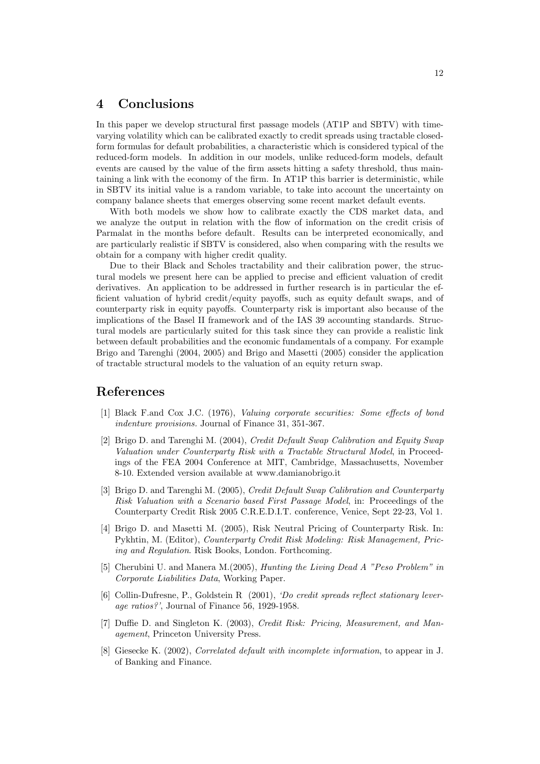# 4 Conclusions

In this paper we develop structural first passage models (AT1P and SBTV) with timevarying volatility which can be calibrated exactly to credit spreads using tractable closedform formulas for default probabilities, a characteristic which is considered typical of the reduced-form models. In addition in our models, unlike reduced-form models, default events are caused by the value of the firm assets hitting a safety threshold, thus maintaining a link with the economy of the firm. In AT1P this barrier is deterministic, while in SBTV its initial value is a random variable, to take into account the uncertainty on company balance sheets that emerges observing some recent market default events.

With both models we show how to calibrate exactly the CDS market data, and we analyze the output in relation with the flow of information on the credit crisis of Parmalat in the months before default. Results can be interpreted economically, and are particularly realistic if SBTV is considered, also when comparing with the results we obtain for a company with higher credit quality.

Due to their Black and Scholes tractability and their calibration power, the structural models we present here can be applied to precise and efficient valuation of credit derivatives. An application to be addressed in further research is in particular the efficient valuation of hybrid credit/equity payoffs, such as equity default swaps, and of counterparty risk in equity payoffs. Counterparty risk is important also because of the implications of the Basel II framework and of the IAS 39 accounting standards. Structural models are particularly suited for this task since they can provide a realistic link between default probabilities and the economic fundamentals of a company. For example Brigo and Tarenghi (2004, 2005) and Brigo and Masetti (2005) consider the application of tractable structural models to the valuation of an equity return swap.

## References

- [1] Black F.and Cox J.C. (1976), Valuing corporate securities: Some effects of bond indenture provisions. Journal of Finance 31, 351-367.
- [2] Brigo D. and Tarenghi M. (2004), Credit Default Swap Calibration and Equity Swap Valuation under Counterparty Risk with a Tractable Structural Model, in Proceedings of the FEA 2004 Conference at MIT, Cambridge, Massachusetts, November 8-10. Extended version available at www.damianobrigo.it
- [3] Brigo D. and Tarenghi M. (2005), Credit Default Swap Calibration and Counterparty Risk Valuation with a Scenario based First Passage Model, in: Proceedings of the Counterparty Credit Risk 2005 C.R.E.D.I.T. conference, Venice, Sept 22-23, Vol 1.
- [4] Brigo D. and Masetti M. (2005), Risk Neutral Pricing of Counterparty Risk. In: Pykhtin, M. (Editor), Counterparty Credit Risk Modeling: Risk Management, Pricing and Regulation. Risk Books, London. Forthcoming.
- [5] Cherubini U. and Manera M.(2005), Hunting the Living Dead A "Peso Problem" in Corporate Liabilities Data, Working Paper.
- [6] Collin-Dufresne, P., Goldstein R (2001), 'Do credit spreads reflect stationary leverage ratios?', Journal of Finance 56, 1929-1958.
- [7] Duffie D. and Singleton K. (2003), Credit Risk: Pricing, Measurement, and Management, Princeton University Press.
- [8] Giesecke K. (2002), Correlated default with incomplete information, to appear in J. of Banking and Finance.